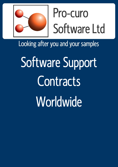

## Pro-curo Software Ltd

Looking after you and your samples

Software Support **Contracts Worldwide**